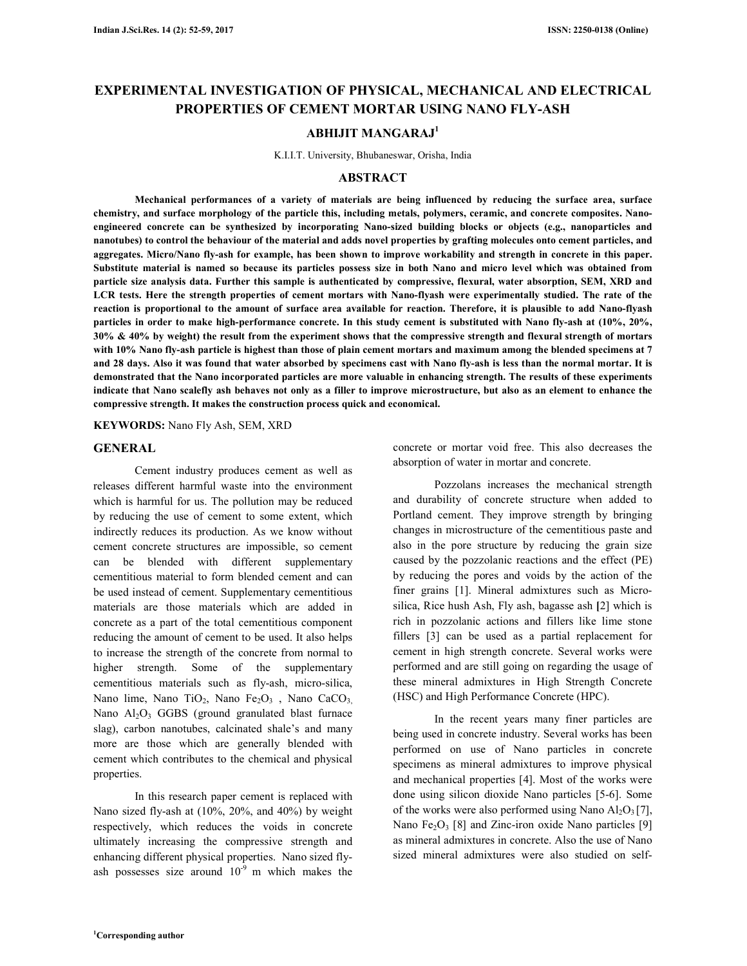# **EXPERIMENTAL INVESTIGATION OF PHYSICAL, MECHANICAL AND ELECTRICAL PROPERTIES OF CEMENT MORTAR USING NANO FLY-ASH**

# **ABHIJIT MANGARAJ<sup>1</sup>**

K.I.I.T. University, Bhubaneswar, Orisha, India

### **ABSTRACT**

 **Mechanical performances of a variety of materials are being influenced by reducing the surface area, surface chemistry, and surface morphology of the particle this, including metals, polymers, ceramic, and concrete composites. Nanoengineered concrete can be synthesized by incorporating Nano-sized building blocks or objects (e.g., nanoparticles and nanotubes) to control the behaviour of the material and adds novel properties by grafting molecules onto cement particles, and aggregates. Micro/Nano fly-ash for example, has been shown to improve workability and strength in concrete in this paper. Substitute material is named so because its particles possess size in both Nano and micro level which was obtained from particle size analysis data. Further this sample is authenticated by compressive, flexural, water absorption, SEM, XRD and LCR tests. Here the strength properties of cement mortars with Nano-flyash were experimentally studied. The rate of the reaction is proportional to the amount of surface area available for reaction. Therefore, it is plausible to add Nano-flyash particles in order to make high-performance concrete. In this study cement is substituted with Nano fly-ash at (10%, 20%, 30% & 40% by weight) the result from the experiment shows that the compressive strength and flexural strength of mortars with 10% Nano fly-ash particle is highest than those of plain cement mortars and maximum among the blended specimens at 7 and 28 days. Also it was found that water absorbed by specimens cast with Nano fly-ash is less than the normal mortar. It is demonstrated that the Nano incorporated particles are more valuable in enhancing strength. The results of these experiments indicate that Nano scalefly ash behaves not only as a filler to improve microstructure, but also as an element to enhance the compressive strength. It makes the construction process quick and economical.** 

**KEYWORDS:** Nano Fly Ash, SEM, XRD

## **GENERAL**

 Cement industry produces cement as well as releases different harmful waste into the environment which is harmful for us. The pollution may be reduced by reducing the use of cement to some extent, which indirectly reduces its production. As we know without cement concrete structures are impossible, so cement can be blended with different supplementary cementitious material to form blended cement and can be used instead of cement. Supplementary cementitious materials are those materials which are added in concrete as a part of the total cementitious component reducing the amount of cement to be used. It also helps to increase the strength of the concrete from normal to higher strength. Some of the supplementary cementitious materials such as fly-ash, micro-silica, Nano lime, Nano TiO<sub>2</sub>, Nano Fe<sub>2</sub>O<sub>3</sub>, Nano CaCO<sub>3</sub> Nano  $Al_2O_3$  GGBS (ground granulated blast furnace slag), carbon nanotubes, calcinated shale's and many more are those which are generally blended with cement which contributes to the chemical and physical properties.

 In this research paper cement is replaced with Nano sized fly-ash at (10%, 20%, and 40%) by weight respectively, which reduces the voids in concrete ultimately increasing the compressive strength and enhancing different physical properties. Nano sized flyash possesses size around  $10^{-9}$  m which makes the concrete or mortar void free. This also decreases the absorption of water in mortar and concrete.

 Pozzolans increases the mechanical strength and durability of concrete structure when added to Portland cement. They improve strength by bringing changes in microstructure of the cementitious paste and also in the pore structure by reducing the grain size caused by the pozzolanic reactions and the effect (PE) by reducing the pores and voids by the action of the finer grains [1]. Mineral admixtures such as Microsilica, Rice hush Ash, Fly ash, bagasse ash **[**2] which is rich in pozzolanic actions and fillers like lime stone fillers [3] can be used as a partial replacement for cement in high strength concrete. Several works were performed and are still going on regarding the usage of these mineral admixtures in High Strength Concrete (HSC) and High Performance Concrete (HPC).

 In the recent years many finer particles are being used in concrete industry. Several works has been performed on use of Nano particles in concrete specimens as mineral admixtures to improve physical and mechanical properties [4]. Most of the works were done using silicon dioxide Nano particles [5-6]. Some of the works were also performed using Nano  $Al_2O_3[7]$ , Nano  $Fe<sub>2</sub>O<sub>3</sub>$  [8] and Zinc-iron oxide Nano particles [9] as mineral admixtures in concrete. Also the use of Nano sized mineral admixtures were also studied on self-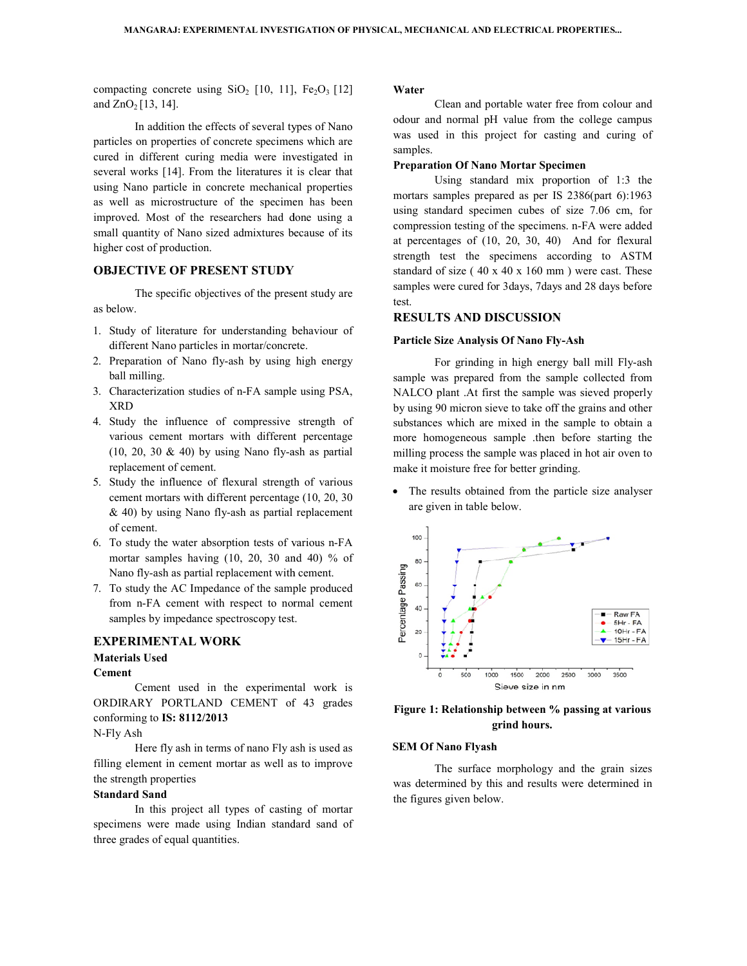compacting concrete using  $SiO<sub>2</sub>$  [10, 11],  $Fe<sub>2</sub>O<sub>3</sub>$  [12] and  $ZnO_2[13, 14]$ .

In addition the effects of several types of Nano particles on properties of concrete specimens which are cured in different curing media were investigated in several works [14]. From the literatures it is clear that using Nano particle in concrete mechanical properties particles on properties of concrete specimens which are cured in different curing media were investigated in several works [14]. From the literatures it is clear that using Nano particle in concrete mechanical properties a improved. Most of the researchers had done using a small quantity of Nano sized admixtures because of its higher cost of production. sized admixtures because of<br>
1.<br> **ESENT STUDY**<br>
jectives of the present study and<br>
or understanding behaviour<br>
les in mortar/concrete. ing SiO<sub>2</sub> [10, 11], Fe<sub>2</sub>O<sub>3</sub> [12] **Water**<br>
effects of several types of Nano<br>
odour a<br>
concrete speciments which are<br>
gm media were investigated in<br>
and the literatures it is clear that<br>
repeat montaristic concrete encha

# **OBJECTIVE OF PRESENT STUDY**

The specific objectives of the present study are as below.

- 1. Study of literature for understanding behaviour of different Nano particles in mortar/concrete.
- 2. Preparation of Nano fly-ash by using high energy ball milling.
- 3. Characterization studies of n-FA sample using PSA, XRD
- 4. Study the influence of compressive strength of various cement mortars with different percentage  $(10, 20, 30 \& 40)$  by using Nano fly-ash as partial replacement of cement. as hterization studies of n-FA sample using PSA,<br>terization studies of n-FA sample using PSA,<br>the influence of compressive strength of<br>is cement mortars with different percentage<br>0, 30 & 40) by using Nano fly-ash as partia
- 5. Study the influence of flexural strength of various cement mortars with different percentage (10, 20, 30  $& 40$ ) by using Nano fly-ash as partial replacement of cement.
- 6. To study the water absorption tests of various n n-FA mortar samples having (10, 20, 30 and 40) % of Nano fly-ash as partial replacement with cement. mortar samples having (10, 20, 30 and 40) % of<br>Nano fly-ash as partial replacement with cement.<br>To study the AC Impedance of the sample produced<br>from n-FA cement with respect to normal cement
- 7. To study the AC Impedance of the sample produced samples by impedance spectroscopy test.

# **EXPERIMENTAL WORK**

# **Materials Used**

**Cement** 

Cement used in the experimental work is ORDIRARY PORTLAND CEMENT of 43 grades conforming to **IS: 8112/2013** 

N-Fly Ash

Here fly ash in terms of nano Fly ash is used as filling element in cement mortar as well as to improve the strength properties

# **Standard Sand**

In this project all types of casting of mortar specimens were made using Indian standard sand of three grades of equal quantities.

 Clean and portable water free from colour and odour and normal pH value from the college campus was used in this project for casting and curing of samples. odour and normal pH value from the college campus<br>was used in this project for casting and curing of<br>samples.<br>**Preparation Of Nano Mortar Specimen**<br>Using standard mix proportion of 1:3 the<br>mortars samples prepared as per I

## **Preparation Of Nano Mortar Specimen**

Using standard mix proportion of 1:3 the using standard specimen cubes of size 7.06 cm, for compression testing of the specimens. n-FA were added at percentages of (10, 20, 30, 40) And for flexural strength test the specimens according to ASTM standard of size ( $40 \times 40 \times 160$  mm) were cast. These samples were cured for 3days, 7days and 28 days before test. rages of  $(10, 20, 30, 40)$  And for flexural<br>test the specimens according to ASTM<br>of size  $(40 \times 40 \times 160 \text{ mm})$  were cast. These

#### **RESULTS AND DISCUSSION**

#### **Particle Size Analysis Of Nano Fly-Ash**

For grinding in high energy ball mill Fly-ash sample was prepared from the sample collected from NALCO plant .At first the sample was sieved properly by using 90 micron sieve to take off the grains and other sample was prepared from the sample collected from NALCO plant .At first the sample was sieved properly by using 90 micron sieve to take off the grains and other substances which are mixed in the sample to obtain a more homogeneous sample .then before starting the more homogeneous sample then before starting the milling process the sample was placed in hot air oven to make it moisture free for better grinding.

• The results obtained from the particle size analyser are given in table below.



#### Figure 1: Relationship between % passing at various **grind hours.**

#### **SEM Of Nano Flyash**

The surface morphology and the grain sizes The surface morphology and the grain sizes was determined by this and results were determined in the figures given below.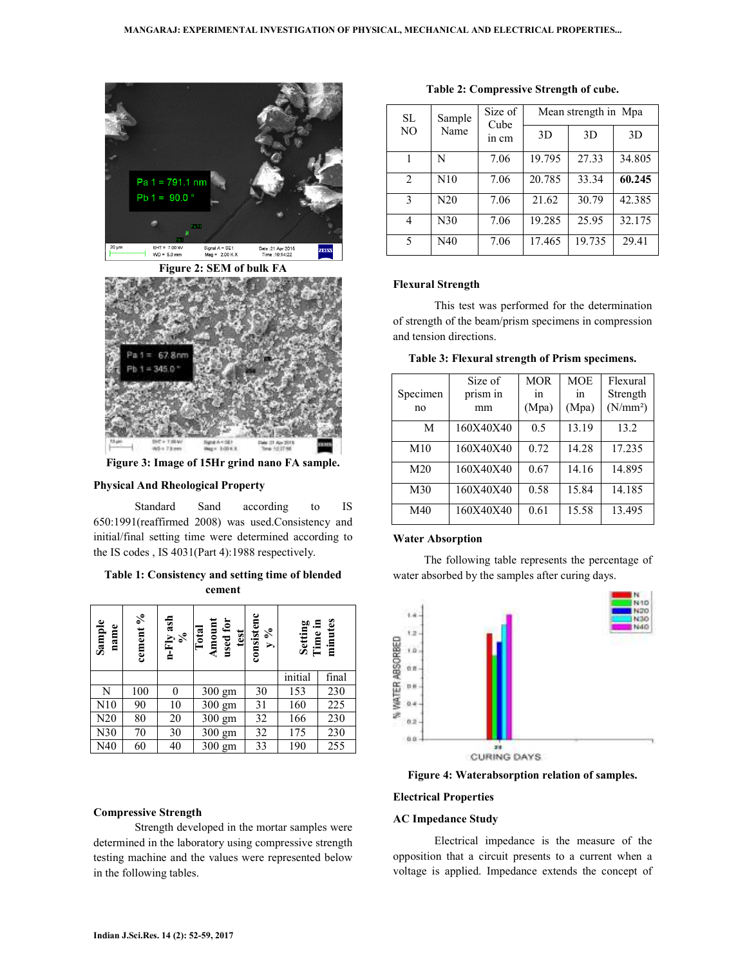

**Figure 2: SEM of bulk FA** 



**Figure 3: Image of 15Hr grind nano FA sample.** 

## **Physical And Rheological Property**

 Standard Sand according to IS 650:1991(reaffirmed 2008) was used.Consistency and initial/final setting time were determined according to the IS codes , IS 4031(Part 4):1988 respectively.

## **Table 1: Consistency and setting time of blended cement**

| Sample<br>name | cement % | $n$ -Fly ash<br>% | used for<br>Amoun<br>Total<br>test | consistenc<br>$\%$<br>$\blacktriangleright$ | Setting<br>Time in | minutes |
|----------------|----------|-------------------|------------------------------------|---------------------------------------------|--------------------|---------|
|                |          |                   |                                    |                                             | initial            | final   |
| N              | 100      | 0                 | 300 gm                             | 30                                          | 153                | 230     |
| N10            | 90       | 10                | 300 gm                             | 31                                          | 160                | 225     |
| N20            | 80       | 20                | 300 gm                             | 32                                          | 166                | 230     |
| N30            | 70       | 30                | $300 \text{ gm}$                   | 32                                          | 175                | 230     |
| N40            | 60       | 40                | 300 gm                             | 33                                          | 190                | 255     |

#### **Compressive Strength**

 Strength developed in the mortar samples were determined in the laboratory using compressive strength testing machine and the values were represented below in the following tables.

| SL<br>N <sub>O</sub> | Sample<br>Name | Size of<br>Cube<br>in cm | Mean strength in Mpa |        |        |  |
|----------------------|----------------|--------------------------|----------------------|--------|--------|--|
|                      |                |                          | 3D                   | 3D     | 3D     |  |
|                      | N              | 7.06                     | 19.795               | 27.33  | 34.805 |  |
| $\mathfrak{D}$       | N10            | 7.06                     | 20.785               | 33.34  | 60.245 |  |
| 3                    | N20            | 7.06                     | 21.62                | 30.79  | 42.385 |  |
| 4                    | N30            | 7.06                     | 19.285               | 25.95  | 32.175 |  |
| 5                    | N40            | 7.06                     | 17.465               | 19.735 | 29.41  |  |

#### **Table 2: Compressive Strength of cube.**

#### **Flexural Strength**

 This test was performed for the determination of strength of the beam/prism specimens in compression and tension directions.

|  |  | Table 3: Flexural strength of Prism specimens. |
|--|--|------------------------------------------------|

| Specimen<br>n <sub>0</sub> | Size of<br>prism in<br>mm | <b>MOR</b><br>1n<br>(Mpa) | <b>MOE</b><br>1n<br>(Mpa) | Flexural<br>Strength<br>(N/mm <sup>2</sup> ) |
|----------------------------|---------------------------|---------------------------|---------------------------|----------------------------------------------|
| M                          | 160X40X40                 | 0.5                       | 13.19                     | 13.2                                         |
| M10                        | 160X40X40                 | 0.72                      | 14.28                     | 17.235                                       |
| M <sub>20</sub>            | 160X40X40                 | 0.67                      | 14.16                     | 14.895                                       |
| M30                        | 160X40X40                 | 0.58                      | 15.84                     | 14.185                                       |
| M40                        | 160X40X40                 | 0.61                      | 15.58                     | 13.495                                       |

#### **Water Absorption**

 The following table represents the percentage of water absorbed by the samples after curing days.



**Figure 4: Waterabsorption relation of samples.** 

#### **Electrical Properties**

#### **AC Impedance Study**

 Electrical impedance is the measure of the opposition that a circuit presents to a current when a voltage is applied. Impedance extends the concept of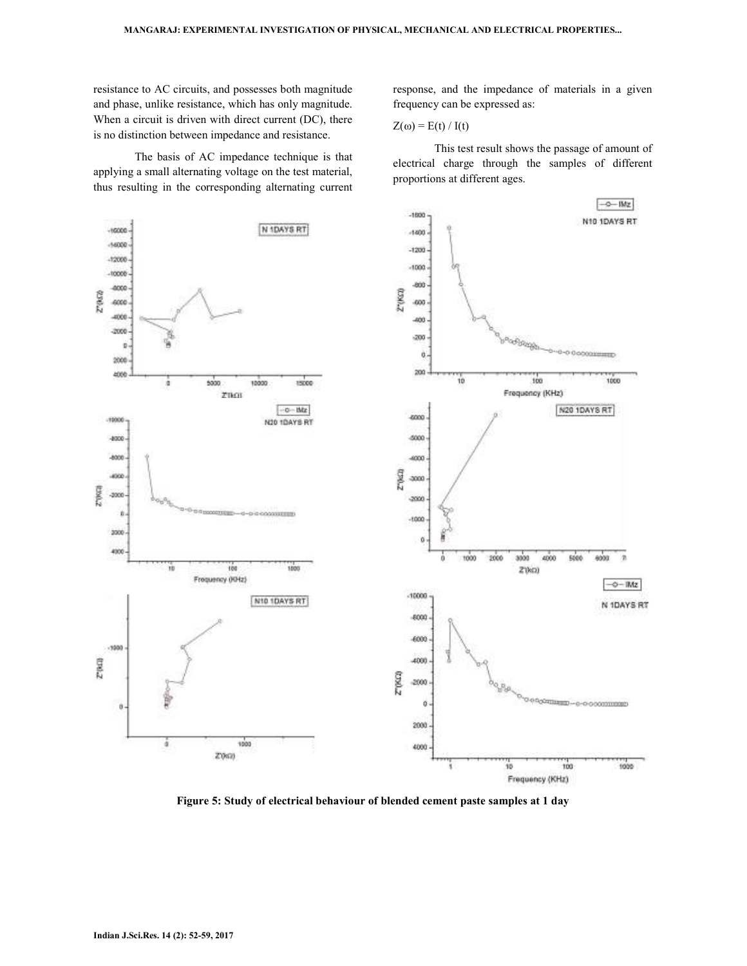resistance to AC circuits, and possesses both magnitude and phase, unlike resistance, which has only magnitude. When a circuit is driven with direct current (DC), there is no distinction between impedance and resistance.

 The basis of AC impedance technique is that applying a small alternating voltage on the test material, thus resulting in the corresponding alternating current response, and the impedance of materials in a given frequency can be expressed as:

$$
Z(\omega) = E(t) / I(t)
$$

 This test result shows the passage of amount of electrical charge through the samples of different proportions at different ages.



**Figure 5: Study of electrical behaviour of blended cement paste samples at 1 day**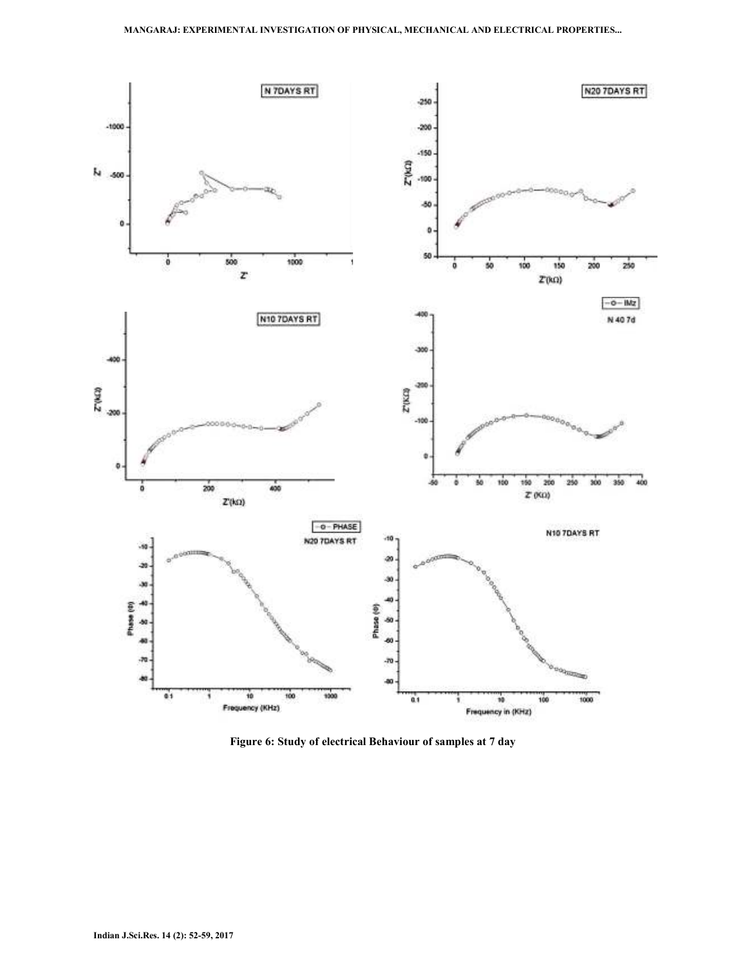

**Figure 6: Study of electrical Behaviour of samples at 7 day**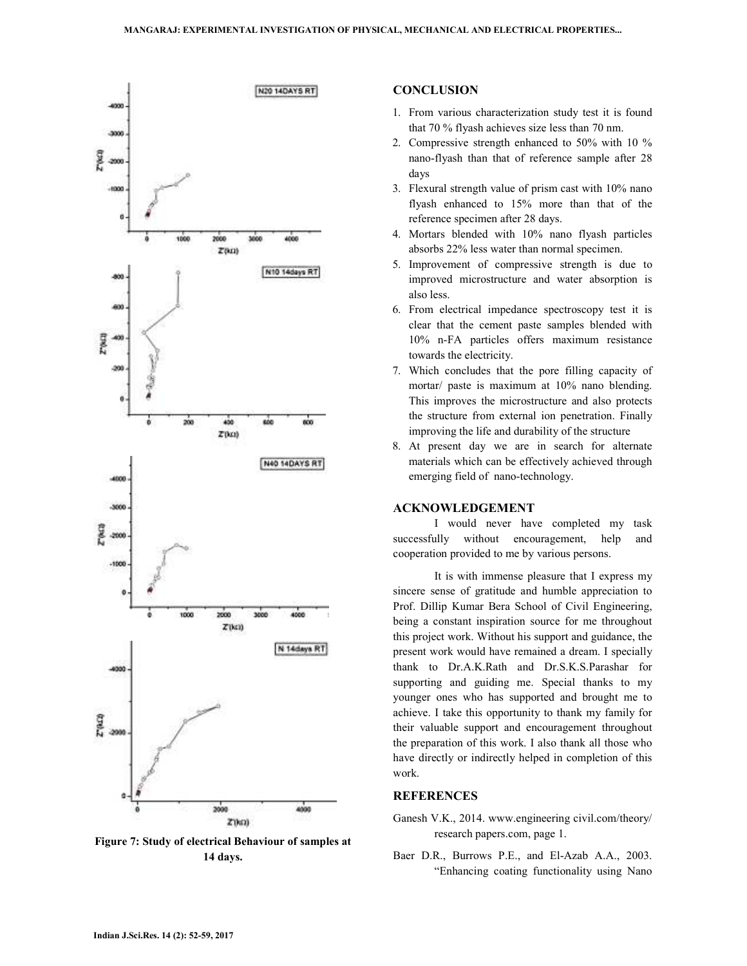

**Figure 7: Study of electrical Behaviour of samples at 14 days.** 

### **CONCLUSION**

- 1. From various characterization study test it is found that 70 % flyash achieves size less than 70 nm.
- 2. Compressive strength enhanced to 50% with 10 % nano-flyash than that of reference sample after 28 days
- 3. Flexural strength value of prism cast with 10% nano flyash enhanced to 15% more than that of the reference specimen after 28 days.
- 4. Mortars blended with 10% nano flyash particles absorbs 22% less water than normal specimen.
- 5. Improvement of compressive strength is due to improved microstructure and water absorption is also less.
- 6. From electrical impedance spectroscopy test it is clear that the cement paste samples blended with 10% n-FA particles offers maximum resistance towards the electricity.
- 7. Which concludes that the pore filling capacity of mortar/ paste is maximum at 10% nano blending. This improves the microstructure and also protects the structure from external ion penetration. Finally improving the life and durability of the structure
- 8. At present day we are in search for alternate materials which can be effectively achieved through emerging field of nano-technology.

#### **ACKNOWLEDGEMENT**

 I would never have completed my task successfully without encouragement, help and cooperation provided to me by various persons.

 It is with immense pleasure that I express my sincere sense of gratitude and humble appreciation to Prof. Dillip Kumar Bera School of Civil Engineering, being a constant inspiration source for me throughout this project work. Without his support and guidance, the present work would have remained a dream. I specially thank to Dr.A.K.Rath and Dr.S.K.S.Parashar for supporting and guiding me. Special thanks to my younger ones who has supported and brought me to achieve. I take this opportunity to thank my family for their valuable support and encouragement throughout the preparation of this work. I also thank all those who have directly or indirectly helped in completion of this work.

#### **REFERENCES**

- Ganesh V.K., 2014. www.engineering civil.com/theory/ research papers.com, page 1.
- Baer D.R., Burrows P.E., and El-Azab A.A., 2003. "Enhancing coating functionality using Nano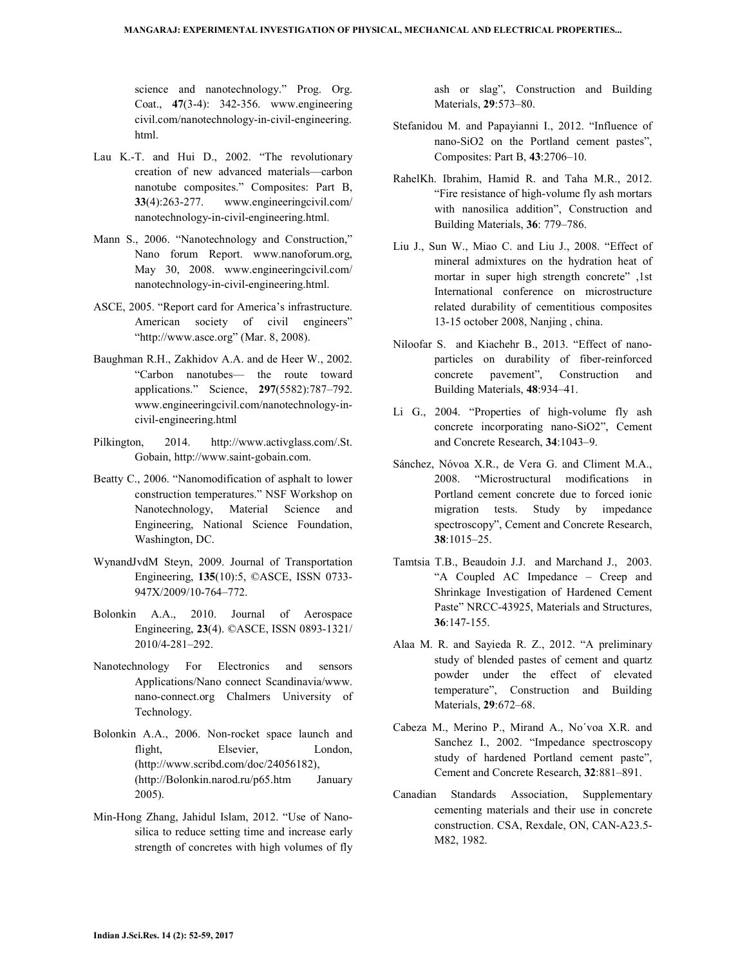science and nanotechnology." Prog. Org. Coat., **47**(3-4): 342-356. www.engineering civil.com/nanotechnology-in-civil-engineering. html.

- Lau K.-T. and Hui D., 2002. "The revolutionary creation of new advanced materials—carbon nanotube composites." Composites: Part B, **33**(4):263-277. www.engineeringcivil.com/ nanotechnology-in-civil-engineering.html.
- Mann S., 2006. "Nanotechnology and Construction," Nano forum Report. www.nanoforum.org, May 30, 2008. www.engineeringcivil.com/ nanotechnology-in-civil-engineering.html.
- ASCE, 2005. "Report card for America's infrastructure. American society of civil engineers" "http://www.asce.org" (Mar. 8, 2008).
- Baughman R.H., Zakhidov A.A. and de Heer W., 2002. "Carbon nanotubes— the route toward applications." Science, **297**(5582):787–792. www.engineeringcivil.com/nanotechnology-incivil-engineering.html
- Pilkington, 2014. http://www.activglass.com/.St. Gobain, http://www.saint-gobain.com.
- Beatty C., 2006. "Nanomodification of asphalt to lower construction temperatures." NSF Workshop on Nanotechnology, Material Science and Engineering, National Science Foundation, Washington, DC.
- WynandJvdM Steyn, 2009. Journal of Transportation Engineering, **135**(10):5, ©ASCE, ISSN 0733- 947X/2009/10-764–772.
- Bolonkin A.A., 2010. Journal of Aerospace Engineering, **23**(4). ©ASCE, ISSN 0893-1321/ 2010/4-281–292.
- Nanotechnology For Electronics and sensors Applications/Nano connect Scandinavia/www. nano-connect.org Chalmers University of Technology.
- Bolonkin A.A., 2006. Non-rocket space launch and flight, Elsevier, London, (http://www.scribd.com/doc/24056182), (http://Bolonkin.narod.ru/p65.htm January 2005).
- Min-Hong Zhang, Jahidul Islam, 2012. "Use of Nanosilica to reduce setting time and increase early strength of concretes with high volumes of fly

ash or slag", Construction and Building Materials, **29**:573–80.

- Stefanidou M. and Papayianni I., 2012. "Influence of nano-SiO2 on the Portland cement pastes", Composites: Part B, **43**:2706–10.
- RahelKh. Ibrahim, Hamid R. and Taha M.R., 2012. "Fire resistance of high-volume fly ash mortars with nanosilica addition", Construction and Building Materials, **36**: 779–786.
- Liu J., Sun W., Miao C. and Liu J., 2008. "Effect of mineral admixtures on the hydration heat of mortar in super high strength concrete" ,1st International conference on microstructure related durability of cementitious composites 13-15 october 2008, Nanjing , china.
- Niloofar S. and Kiachehr B., 2013. "Effect of nanoparticles on durability of fiber-reinforced concrete pavement", Construction and Building Materials, **48**:934–41.
- Li G., 2004. "Properties of high-volume fly ash concrete incorporating nano-SiO2", Cement and Concrete Research, **34**:1043–9.
- Sánchez, Nóvoa X.R., de Vera G. and Climent M.A., 2008. "Microstructural modifications in Portland cement concrete due to forced ionic migration tests. Study by impedance spectroscopy", Cement and Concrete Research, **38**:1015–25.
- Tamtsia T.B., Beaudoin J.J. and Marchand J., 2003. "A Coupled AC Impedance – Creep and Shrinkage Investigation of Hardened Cement Paste" NRCC-43925, Materials and Structures, **36**:147-155.
- Alaa M. R. and Sayieda R. Z., 2012. "A preliminary study of blended pastes of cement and quartz powder under the effect of elevated temperature", Construction and Building Materials, **29**:672–68.
- Cabeza M., Merino P., Mirand A., No´voa X.R. and Sanchez I., 2002. "Impedance spectroscopy study of hardened Portland cement paste", Cement and Concrete Research, **32**:881–891.
- Canadian Standards Association, Supplementary cementing materials and their use in concrete construction. CSA, Rexdale, ON, CAN-A23.5- M82, 1982.